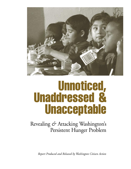

# Unnoticed, Unaddressed & Unacceptable

Revealing *&* Attacking Washington's Persistent Hunger Problem

*Report Produced and Released by Washington Citizen Action*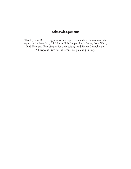## **Acknowledgements**

Thank you to Brett Houghton for her supervision and collaboration on the report, and Aileen Carr, Bill Monto, Bob Cooper, Linda Stone, Dana Warn, Barb Flye, and Tom Vasquez for their editing, and Shawn Connolly and Chesapeake Press for the layout, design, and printing.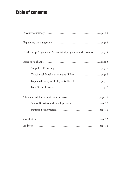# Table of contents

| Food Stamp Program and School Meal programs are the solution page 4 |
|---------------------------------------------------------------------|
|                                                                     |
|                                                                     |
|                                                                     |
|                                                                     |
|                                                                     |
|                                                                     |
|                                                                     |
|                                                                     |
|                                                                     |
|                                                                     |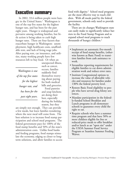# Executive summary

In 2002, 33.6 million people went hungry in the United States.<sup>1</sup> Washington is one of the top five states for the highest hunger rate, and has been for the past eight years. Hunger is widespread and pervasive among working families, but little action is being taken to curb high hunger rates. There are four factors that exacerbate hunger in Washington: unemployment, high healthcare costs, unaffordable rent, and lack of living wage jobs. After paying rent, car insurance, and utilities, many working people have few resources left to buy food. Or when an

*Washington is one of the top five states for the highest hunger rate, and has been for the past eight years.*

unexpected illness, such as cancer, occurs, families suddenly find themselves worrying about paying for both medical bills and groceries.

Food pantries and soup kitchens are doing their best, especially during the holiday season, but they

are simply not enough. They can provide a few meals, but leave families wondering where the next meal will come from. The best solution is to increase food stamp participation and school meal programs. The federal government pays for 100% of the food stamp benefits and 50% of the state's administration costs. Unlike food banks and feeding programs, food stamps stimulate the economy, edging us closer to longterm solutions, and allow families to access

food with dignity. <sup>2</sup> School meal programs are the most effective way to reach children. With all meals paid by the federal government, schools only need to provide the facility.

There are six changes Washington state can easily make to significantly reduce barriers in the Food Stamp Program and to expand school meal programs to reach thousands of hungry children.3

- Implement an automatic five-month receipt of food stamp benefits, (otherwise known as Basic Food) to transition families from cash assistance to work.
- Streamline reporting requirements for eligible families to cut down administration work and reduce error rates.
- Institute Congressional options to increase the value of allowable vehicles and resources for families under 130% the federal poverty level.
- Restore Basic Food eligibility to people who have served drug felony sentences.
- Mandate participation in the federally-funded School Breakfast and Lunch programs in all elementary schools to guarantee every child the right to eat.
- Require schools who have a summer time program and that have 50% or more children eligible for free or reduced-price meals to offer breakfast and/or lunch as an "open site" under the USDA Summer Food Service Program or Seamless Summer Feeding Waiver.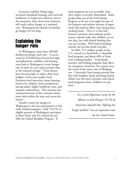Economic stability, living wages, increased subsidized housing, and universal healthcare are long-term solutions, but in the meantime, these short-term solutions will vastly reduce hunger at a minimal cost. Washington has already let families go hungry for too long.

## Explaining the hunger rate

In Washington, more than 100,000 families go hungry each year. <sup>4</sup> A recent study by *ECONorthwest* found that high unemployment, mobility, and housing costs lead to Washington's severe hunger rate, in spite of a per capita income close to the national average.<sup>5</sup> These factors have forced people to reduce their food budgets or buy poor quality food. Persistent food insecurity causes learning barriers for children, lower productivity among adults, higher healthcare costs, and rampant malnutrition. This situation has worsened because of the economic downturns both within the state and across the nation.6

Another reason for hunger in Washington is the low participation in federally funded programs. Only 55-67% of eligible persons in Washington participate in Basic Food, and 241 schools do not offer the School Breakfast Program. If

these programs are not accessible, then their impact is severely diminished. Many people drop out of the Food Stamp Program or do not even apply because of the frequent and tedious amount of paperwork and required office visits during their working hours. There is a clear link between nutrition and academic performance; schools make sure children eat on test days, but with federal funding they can eat everyday. With federal funding, schools can provide meals everyday.

In 2001, 23.3 million people in the U.S. turned to a food bank or charitable food program, and about 40% of those were working families.<sup>7</sup> Food banks, pantries, and feeding programs help alleviate emergency situations, but cannot meet the needs of the entire state of Washington. Conversely, food stamps provide families with healthier foods and bring federal dollars into the local economy, and school meal programs ensure children eat and learn.

*In a recent bipartisan survey by the Alliance to End Hunger, 92.7% of Americans reported that "fighting the hunger problem" was an important issue for the United States.*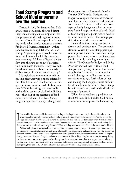## Food Stamp Program and School Meal programs are the solution

Created in 1977 by Senators Bob Dole and George McGovern, the Food Stamp Program is the single most important federal program in the fight against hunger, because of its ability to respond to changing needs: when needs increase or decrease, funds are disbursed accordingly. Unlike food banks and soup kitchens, the Food Stamp Program improves people's access to food and brings federal dollars into the local economy. Millions of federal dollars flow into the state economy if participation rates match the need. Every five additional food stamp dollars creates nearly ten dollars worth of total economic activity. 8

It is logical and economical to reform existing programs with options offered by the 2002 Farm Bill.<sup>9</sup> Food stamps are targeted to those most in need. In fact, more than 90% of benefits go to households with a child, senior, or disabled individual. More than half of the recipients of food stamps are children. The Food Stamp Program experienced a major change with

the introduction of Electronic Benefits Transfer (EBT) cards. Recipients no longer use coupons that can be traded or sold, but can only purchase food products with their EBT cards. Food stamps don't replace family budget cuts, but can support family budgets in time of need. Half of food stamp participants receive benefits for nine months or less. The average participation is less than two years. $10$ 

In addition, food stamps are good for farmers and business, too. The economic stimulus caused by food stamp participation improves the overall economy by supporting local grocery stores and increasing family monthly spending power by up to 45%.11 The Center for Budget and Policy Priorities showed that "without food stamps, some grocery stores in low-income neighborhoods and rural communities would likely go out of business during recessions, causing a further loss of jobs and making food shopping more difficult for all families in the area. $^{512}$  Food stamp benefits significantly reduce the depth and severity of poverty.<sup>13</sup>

When President Bush signed into law the 2002 Farm Bill, it added \$6.4 billion in new funds to improve the Food Stamp

 $\prod_{\text{har}}$ 'm a small business owner of bakery and butcher shops. During the winter months, businesses like mine survive because people who work in the agricultural industry are able to purchase food with their EBT cards. When the crops are harvested, families are able to work and provide for their families. In September, when there is the apple harvest, about one out of 10 families use EBT cards. Now in the winter, seven out 10 use the EBT cards to buy food. People are able to survive with this help from the USDA, and they have a dramatic effect on the businesses in this area.

Yakima Valley has a strong agricultural economy based on apples, grapes, pears, cherries, and hops. Many farmers are struggling because the larger farms are heavily subsidized by the government, and are the only ones who can survive the poor economy. Farms aren't able to employ workers during the off season, so thousands of workers lose their jobs during the winter. There are few jobs available in other industries like packing. People try to save their money during the harvest season, but the savings cannot last throughout the winter season since they have to pay for rent, bills, and medical care. It is not until the trees have to be pruned and the asparagus crops are ready in March that farm workers start getting their jobs back. We survive because our customers are able to buy foods with EBT cards.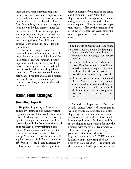Program and other nutrition programs through enhancements and simplifications. Individual states can adopt new provisions that improve access and benefits. The Food Stamp Program statutes and regulations allow individual states to meet the nutritional needs of low-income people and improve their programs through several options. Washington has yet to implement any significant Farm Bill state options. Now is the time to act for hungry families.

There are six changes that would decrease hunger in Washington. Four of these directly increase participation of the Food Stamp Program: simplified reporting, transitional benefits, categorical eligibility, and opting out of the federal exclusion of people with former drug felony convictions. The other two would mandate School Breakfast and Lunch programs in every elementary school and open Summer Food Program sites to all children in the area.

# Basic Food changes

## **Simplified Reporting**

**Simplified Reporting** will decrease hunger by eliminating frequent reporting requirements that deter people from Basic Food. Working people are unable to keep up with the reporting demands and face barriers due to lack of transportation, work hour conflicts, or overwhelming paperwork. Workers often cite frequent interviews as a reason for leaving the Food Stamp Program even though they are still eligible, because it is difficult to take time off of work.<sup>14</sup> A study commissioned by USDA estimated that each reapplication

takes an average of two trips to the office and five hours.15 With Simplified Reporting people can report minor income changes every six months, rather than more frequently. The increased participation costs are offset by the streamlined recertification process that eases administration and paperwork costs and reduces errors.

#### **The benefits of Simplified Reporting:**

- Increases federal dollars by freezing a family's benefit for six months and responds only to changes that increase benefits.
- Reduces administrative burdens and costs. Families do not have to fill out excessive amount of reports and, as a result, workers do not process an overwhelming amount of paperwork.
- Decreases errors for both families and DSHS. Since the federal government applies penalties to states with higher error rates, it is in the best interest of Washington to reduce reporting mistakes caused from frequent re-certifications.

Currently the Department of Social and Health Services (DSHS) of Washington is working toward an integrated Simplified Reporting that combines the set requirements for cash, medical, and food benefits into one application. Families would fulfill the eligibility requirements for only the program with the strictest requirements. The effects of Simplified Reporting are less paperwork, significant administrative savings, and low error rates.<sup>16</sup> DSHS currently plans to implement Simplified Reporting in October 2004. It is critical that this date not be further postponed as it has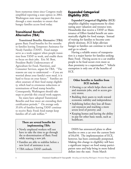been numerous times since Congress made simplified reporting a state option in 2002. Washington state must support this move through a state mandate to ensure that hungry families access food today.

#### **Transitional Benefits Alternative (TBA)**

**Transitional Benefits Alternative (TBA)** grants Basic Food benefits for five months to families leaving Temporary Assistance for Needy Families (TANF). Food stamps serve as a work support when people transition from TANF to work, and enable them to focus on their jobs. Eric M. Bost, President Bush's Undersecretary of Agriculture for Food, Nutrition, and Consumer Services, argues for TBA: "The reasons are easy to understand — if you are worried about your family's next meal, it is hard to focus on your future." Families are often unaware of their food stamp eligibility, which lead to erroneous reductions or terminations of food stamp benefits. Consequently, Washington should take steps to provide this crucial work support.

Six states have adopted Transitional Benefits and four more are extending their certification periods.17 On average only 35.6% of families leaving TANF continue to receive Basic Food; food stamps keep families off of cash welfare.<sup>18</sup>

#### **There are several benefits for implementing TBA:**

- Newly employed workers will not have to take the time to go through the re-determination of Basic Food while starting a new job.
- Families are able to stabilize before a new level of assistance is set.
- TBA reduces TANF caseloads.

### **Expanded Categorical Eligibility (ECE)**

**Expanded Categorical Eligibility (ECE)** simplifies eligibility requirements by eliminating asset valuation and resource tests. Households that receive a TANF or Maintenance of Effort funded benefit are automatically eligible for food stamps. Instead of waiting for families to become completely destitute, ECE helps alleviate hunger so families can continue to work and go to school.

Having a reliable source of transportation is a major barrier for families seeking Basic Food. Having access to a car enables people to be food secure even more so than proximity to a supermarket.<sup>19</sup> Vehicle exemption is only one of the benefits of ECE.

#### **Other benefits to families from ECE include:**

- Owning a car which helps them seek and maintain jobs, and to access grocery stores;
- Building their assets to work toward economic stability and independence;
- Stabilizing before they lose all financial resources and reaching a more severe level of poverty; and
- Keeping homes and having the ability to pay for other basic needs, such as healthcare.

DSHS has announced plans to allow families to own a car over the current limit of \$4,650. The implementation of ECE, however, has been continually postponed. Making this change in eligibility will have a significant impact on food stamp participation rates and help bring in more federal dollars into the state. From March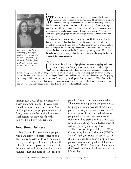

*Rita Anderson, Ph D, former University of Washington professor and executive director and board president of North Helpline Food Bank, works with manager Gayle Munns. Seattle, WA*

#### **Rita:**

We are part of the community and have to take responsibility for other<br>members. Our community can provide food. Those who have more<br>food for people in crisis and transition, but it is not enough. People need to get members. Our community can provide food. Those who have more have more responsibility. At the food bank we provide emergency access to more involved with the community and know that until there are systemic changes in health care and employment, hunger will continue to persist. When people aren't making enough, people have to make tough choices, and food is often the first to go.

People want to be able to feed themselves and provide for their families; they don't want to come if they don't have to. It's the same story: they had jobs; they got laid off. There is a shortage of jobs. We had a client who was brilliant and had been working at a dot com making a high salary. And when he got laid off, he came to the food bank because he didn't have enough money to eat. He's one of the lucky ones, now he has a job, but there was a time when he was going hungry because of the current economy.

#### **Gayle:**

Munns. Seattle, WA<br>
diverse, young, old, disabled, working — most of them are educated. There's a fear that people are always coming<br>
diverse, young, old, disabled, working — most of them are educated. There's a fear that care or housing costs. We help people save on their food bills and prevent them from being evicted or doing without other necessities. The clients are

back to the food bank, but it is not something we found to be a problem. Families are working hard, yet after paying for housing, utilities, and medical bills, they don't have enough to adequately feed their families. When there are job losses or sudden car repairs, your budgets get considerably reduced in other areas, and food is usually what goes to the bottom of the list. Everything is related, it's a domino effect. Food shouldn't be a choice

through July 2002, about 93 cases were closed each month, and 343 cases were denied based on the resource limit. Since ECE applies only to people receiving Basic Food, there would be minimal state costs. Washington can only benefit with improved eligibility requirements.

#### **Food Stamp Fairness**

**Food Stamp Fairness** enables people who have completed their sentence on a drug felony conviction to end the cycle of poverty and drugs. They already face difficulty obtaining employment, financial aid for higher education, and social assistance. Hunger is just one more obstacle for people with former drug felony convictions. These barriers are particularly pronounced for people of color, because of racial disparities in drug arrests and convictions.20 Opting out of the lifetime federal ban on people with former drug felony convictions from food assistance is an initial step toward establishing more effective ways of reducing poverty and drug abuse.

The Personal Responsibility and Work Opportunity Reconciliation Act (PRWO-RA) of 1996 gave states the option to lift the lifetime ban from food stamps on people convicted of a drug-related felony after August 22, 1996. Currently, 11 states and the District of Columbia have rejected the lifetime ban.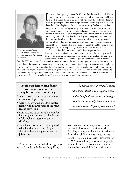

*Tanner Houghton lives in Auburn and understands the economic impact of Food stamps on business.*

I have been working at Safeway. I have seen a lot of families who use EBT card to get their minimal nutritional needs with help from the Food Stamp Program From the grocer's perspective, food stamps drive business and help have been in the grocery business for 15 years. For the past six and a half years, I have been working at Safeway. I have seen a lot of families who use EBT cards to get their minimal nutritional needs with help from the Food Stamp Program. themselves. In the beginning of the month, we see many families who use food stamps because they've often gone hungry at the end of the month when they run out of their rations. They can't buy produce because it is extremely perishable, and it is difficult for families to get to the grocery store. Since families are disqualified for owning a car worth more than \$4,650, they have to rely on public transportation. Most of them have to take a taxi because they have too many groceries to carry on a bus. If they have a reliable source of transportation, then they get disqualified from food stamps. It is unfortunate, because they could be using that taxi money for a car to also help them get to jobs or get more nutritional food.

There is a direct link to the amount of business we get and employment. In low-income areas both families and businesses survive with the money generated from food stamps. At the beginning of the month, when families with food stamps generally come to buy food, \$35,000 is generated at my store alone in one week

from the EBT cards alone. This economic stimulus is important because the shifts given to the employees are in direct proportion to the amount of business we get. Since many families on the Food Stamp Program come at the beginning of the month, the employees are allotted a higher number of working hours. As families run out of money on their EBT cards, we are given less work. Workers can go from 28 to 18 hours a week. We have families and kids too. It's cyclical and competing with other businesses makes it even more crucial for federally funded dollars to come into our grocery store. Food stamps and other welfare services drive businesses in areas like Auburn.

#### **People with former drug felony convictions can only be eligible for Basic Food if they:**

- were convicted only of possession or use of any illegal drug;
- were not convicted of a drug-related felony within three years of the most recent conviction;
- were assessed as chemically dependent by a program certified by the division of alcohol and substance abuse (DASA); and
- are taking part in or have completed a rehabilitation plan consisting of chemical dependency treatment and job services.<sup>21</sup>

These requirements exclude a large segment of people with former drug felony

*The Center on Hunger and Poverty states that, "Black and Hispanic households had food insecurity and hunger rates that were nearly three times those of white (non-Hispanic) households."*

convictions. For example, job commitments, lack of transportation, or their inability to eat, and therefore, function can limit their ability to participate in treatment. There are insufficient resources for DASA certified programs to allow people to enroll, and, as a consequence, few are able to become eligible for food stamps.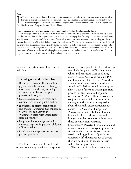#### **Todd:**

felony and as a result don't qualify for food stamps.<br>
food. If she doesn't provide my food, I go hungry.<br>
Combined Assistance Program) because I have a felony. 'm 33 and I have a mental illness. I've been fighting an addiction half of my life. I was convicted of a drug related felony and as a result don't qualify for food stamps. This puts a burden on my mom because she has to buy my food. If she doesn't provide my food, I go hungry. I applied, but don't qualify for WASHCAP (Washington State

#### **(Due to memory problems and mental illness, Todd's mother, Andrea Bozick, speaks for him):**

Ten years ago Todd was diagnosed with paranoid schizophrenia. His drug use stemmed from his inability to deal with his disease. Todd got his original conviction in 2000. He has to pay fines for being in a jail from his small social security income. He only gets \$450 a month. You can't live on \$450 without someone supplementing you. Back in the mid 1990s he got \$60 to \$70 dollars a month for food, but in 1996 he lost that benefit. His rent is over \$300 and the energy bills can get really high, especially during the winter. In order to be eligible for food stamps, he must take part in a rehabilitation program that consists of both drug dependency and job services. He is only capable of two to three hours of work before he starts having episodes, regresses, and has meltdowns — that is why he is on SSI. I just hope he is able to be self-sufficient before I am no longer here to take care of him.

People leaving prison have already served their time.

#### **Opting out of the federal ban:**

- Reduces recidivism. If you are hungry and socially ostracized, placing more barriers in the way of independence does not break the cycle of poverty and drug use.
- Decreases state costs in foster care, criminal justice, and public health.
- Increases food stamp participation and therefore generates \$26 million in yearly economic activity in Washington state, with insignificant state expenditures.
- Helps families stay together and decreases negative impacts on children of former felons.
- Confronts the disproportionate impact on people of color.

The federal exclusion of people with former drug felony convictions disproportionately affects people of color. Most current illicit drug users in Washington are white, and constitute 72% of all drug users. African Americans make up 15% and Hispanics, 10%. Yet, 36.8% of those arrested for drug violations are African American.22 African Americans comprise almost 58% of those in Washington state prisons for drug felonies; Hispanics account for 20.7%.23 These outcomes in conjunction with higher hunger rates among minority groups raise questions about the racially disproportionate outcomes. The Center on Hunger and Poverty states that, "Black and Hispanic households had food insecurity and hunger rates that were nearly three times those of white (non-Hispanic) households.<sup>24</sup> Poverty, discrimination, and unemployment all converge to produce a situation where hunger is worsened by restrictive drug policies. If people are expected to lift themselves out of poverty, then we must work to reduce barriers rather than impose them.

The impact of the federal exclusion is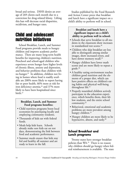broad and serious. DSHS denies an average of 269 clients each month due to a conviction for drug-related felony. Lifting this ban will decrease racial disparities, recidivism, and hunger rates.

# Child and adolescent nutrition initiatives

School Breakfast, Lunch, and Summer Food programs provide meals to hungry children and improve academic performance. There are many long-term health benefits for improving children's nutrition. Preschool and school-aged children who experience severe hunger have higher levels of chronic illness, anxiety and depression, and behavior problems than children with no hunger. <sup>25</sup> In addition, children not living in homes where food is readily available are 200% more likely to report having fair or poor health, 66% more at risk for iron deficiency anemia,<sup>26</sup> and 37% more likely to have been hospitalized since birth.<sup>27</sup>

#### **Breakfast, Lunch, and Summer Food programs benefits::**

- Child nutrition programs boost local economies by purchasing locally and employing community residents.
- Thousands of kids eat with federal funds.
- Meals help kids learn. Schools already make sure kids eat on test days, demonstrating the link between food and academic performance.
- Summer meals ensure that kids stay fed and healthy all summer and are ready to learn in the fall.

Studies published by the Food Research and Action Center prove that breakfast and lunch have a significant impact on a child's ability to perform well in school.

#### **Breakfast and lunch have a significant impact on a child's ability to perform well in school:**

- Schools that serve breakfast to all students in the classroom show increases in standardized test scores.<sup>28</sup>
- Children who skip breakfast are less able to distinguish among similar images, show increased errors, and have slower memory recall.<sup>29</sup>
- Hungry children have lower math scores and are more likely to repeat a grade.30
- A healthy eating environment teaches children good nutrition and the elements of a proper diet, which can have positive effects on children's eating habits and physical well-being throughout life. $31$
- Properly nourished children actively participate in the education experience, which benefits them, their fellow students, and the entire school community. 32
- Behavioral, emotional and academic problems are more prevalent among hungry children.<sup>33</sup>
- Hungry children are more likely to be hyperactive, absent, and tardy. 34

## **School Breakfast and Lunch programs**

Twenty states have stronger breakfast policies than WA.35 There is no reason why children should go hungry when federal reimbursement is available. The state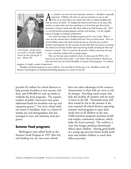

*Vicki Dwight, a health and fitness teacher at Franklin Middle School, has been teaching for 22 years. Yakima, WA*

Solution is. Breakfast is especially<br>
important. Children who don't eat can't pay attention or stay on task.<br>
There are so many kids at our school who come in without breakfast and<br>
with no money for lunch. I've bought kid important. Children who don't eat can't pay attention or stay on task. There are so many kids at our school who come in without breakfast and teachers; we know they won't have anything to eat if we don't give them lunch. Sometimes I bring in snacks and offer them without the kids having to ask. There is a real link between getting adequate nutrition and learning. I see the tangible impact of hunger on academic performance.

Our school has begun the breakfast program and I've seen it help. When I come into the cafeteria there is healthy food and I don't see food wasted. There are several children whose only meals during the day are what they get at school. Summer food programs are also necessary because kids don't just need to eat during the school year-and their families don't stop having trouble providing for them just because its summer. This is an issue for all schools in Yakima, and across the state — every school has students who are going hungry.

How can the state expect students to learn, let alone pass the WASL, if we haven't even met their basic needs? I can't believe there are schools or districts out there that don't have the School Breakfast or Summer Food programs. It's a federal

program; it's simply a matter of paperwork.

Breakfast and lunch programs are not an add-on. For most kids it's all they get to eat. Breakfast, Lunch, and Summer Food programs are fundamental feeding programs; it's a matter of survival.

provides \$5 million for school districts to help provide breakfast to low-income children, and \$500,000 for start up funds to establish the meal programs. The superintendent of public instruction may grant additional funds for breakfast start-up and expansion grants.<sup>36</sup> For every school without lunch or breakfast, there is a school of similar size and demographics that has managed to start and maintain meal programs.

#### **Summer Food programs**

Washington state added funds to the Summer Food Program in 1997 after federal funding was cut, but some schools

have not taken advantage of this resource. Summertime is when kids are most at risk for hunger. Providing meals ensure that kids stay healthy all summer and are ready to learn in the fall. Thousands more children would be fed in the summer if the state required all school districts operating summer meal programs to open their meals sites to all children in the area. Child nutrition programs purchase locally and employ community residents, which helps the local economy. The evidence is clear that hunger produces detrimental effects upon children. Having good health at a young age prevents future health problems and enables children to reach their fullest potential.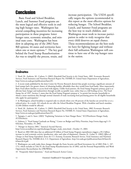# **Conclusion**

Basic Food and School Breakfast, Lunch, and Summer Food programs are the most logical and effective tools in ending high hunger rates. Washington has several compelling incentives for increasing participation in these programs: lower hunger rates, economic stimulus, and minimal state costs. Washington has been slow in adopting any of the 2002 Farm Bill options; 44 states and territories have taken one or more options.37 The key goal behind the Food Stamp Reauthorization Act was to simplify the process, retain, and

increase participation. The USDA specifically targets the options recommended in this report as the most effective options for reducing hunger. The School Breakfast, Lunch, and Summer Food programs are the best way to reach children, and Washington must work to increase participation in order to truly recognize that every child deserves an equal chance. These recommendations are the best tools we have for fighting hunger and without their full utilization Washington will continue to have one of the top hunger rates in the nation.

## **Endnotes**

1 Nord, M., Andrews, M., Carlson, S. (2002) *Household Food Security in the United States, 2001*. Economic Research Services, Food Assistance and Nutrition Research Report No. FANRR-29, United States Department of Agriculture, http://www.ers.usda.gov/publications/fanrr29/.

2 A recent study published by the Joint Center for Poverty Research showed that people receiving a significant amount of food stamps had a far greater chance of obtaining healthy, affordable than they would from food banks. More importantly, Basic Food allows families to access food with dignity. Unlike food pantries, the Food Stamp Program's primary goal is to alleviate basic hunger and malnutrition through socially acceptable ways, rather than as a full feeding service. The Food Stamp Act of 1997, Section 2, states that the Food Stamp Program's purpose is "to permit low-income households to obtain a more nutritious diet through normal channels of trade increasing food purchasing power for all eligible households who apply for participation."

3 In Washington, school breakfast is required only in schools where over 40 percent of the lunches are served free or at a reduced price. As a result, 241 schools do not offer the School Breakfast Program. With a breakfast and lunch mandate, 22,268 children would be affected.

4 Nord, M., Andrews, M., Carlson, S. (2003) *Household Food Security in the United States, 2002*, Economic Research Services, Food Assistance and Nutrition Research Report No. FANRR-35, United States Department of Agriculture, http://www.ers.usda.gov/publications/fanrr35/.

5 Tapogna, J. and A. Suter. (2003) "Explaining Variations in State Hunger Rates," ECONorthwest Hunger Study, *ECONorthwest*.

6 Llobrera, J. "Food Stamp Caseloads are Rising," Center on Budget and Policy Priorities, http://www.cbpp.org/1-15- 02fa.htm, November, 19, 2002.

7 "Hunger in America 2001," America's Second Harvest,

http://www.secondharvest.org/whoshungry/hunger\_study\_intro.html , October 15, 2003.

8 Based on 2002 ERS data that an additional \$5 billion of Food Stamp Program expenditures triggers a \$9.2 billion increase in total economic activity (production, sales, and value of shipments). Hanson, K., Golan, E. (2002) *Effects of Changes in Food Stamp Expenditure Across the U.S. Economy*, Economic Research Service. Food Assistance and Nutrition Research Report No. FANRR-26-6, U.S. Department of Agriculture, http://ers.usda.gov/publications/fanrr26/fanrr26- 6/fanrr26-6.pdf.

9 Washington can easily make these changes through the Farm Security and Rural Investment Act of 2002 (Pub. L. 107- 171), which includes in Title IV, the Food Stamp Reauthorization Act of 2002, and the Personal Responsibility and Work Opportunity Reconciliation Act (PROWRA).

10 "Frequently Asked Questions," Food and Research Action Center,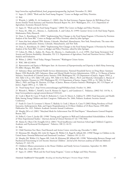http://www.frac.org/html/federal\_food\_programs/programs/fsp\_faq.html, November 25, 2003.

11 Super, D. (2003) "Work and the Food Stamp Program," Center on Budget and Policy Priorities.

12 Ibid.

13 Winicki, J., Jolliffe, D., & Gundersen, C. (2002). *How Do Food Assistance Programs Improve the Well-Being of Low-Income Families?* Food Assistance and Nutrition Research Report No. 26-9. Washington, D.C.: U.S. Department of Agriculture, Economic Research Service.

14 Super, D. "Work and the Food Stamp Program," (2003) The Center on Budget and Policy Priorities.

15 Ponza, M., Ohls, J.C., Moreno, L., Zambrowski, A. and Cohen, R. (1999) *Customer Service in the Food Stamp Program*, Mathematica Policy Research.

16 Dean, S., Rosenbaum, D. (2002) "Implementing New Changes to the Food Stamp Program: A Provision by Provision Analysis of the Farm Bill," Center on Budget and Policy Priorities, edited by John Springer.

17 States that have adopted TBA: Arizona, Colorado, Maryland, Massachusetts, New York, Pennsylvania. The states who are extending certification: Arizona, Colorado, Massachusetts, and New York.

18 Dean, S., Rosenbaum, D. (2002) "Implementing New Changes to the Food Stamp Program: A Provision by Provision Analysis of the Farm Bill," Center on Budget and Policy Priorities, edited by John Springer.

19 Cohen, B., Ohls, J., Andres, M., Ponza, M., Moreno, L., Zambrowski, A., et al. (1999). *Food Stamp Participants' Food Security and Nutrient Availability*. Alexandria, VA: U.S. Department of Agriculture, Food and Nutrition Service, Office of Analysis and Evaluation.

20 Welter, J. (2002) "Freed Today, Hungry Tomorrow," Washington Citizen Action.

21 WAC 388-422-0010.

22 *Representation and Equity in Washington State: An Assessment of Disproportionality and Disparity in Adult Felony Sentencing*, FY 2000, Olympia, WA 2002.

23 Substance Abuse and Mental Health Services Administration, National Household Survey on Drug Abuse: Summary Report 1998 (Rockville, MD: Substance Abuse and Mental Health Services Administration, 1999), p. 13; Bureau of Justice Statistics, Sourcebook of Criminal Justice Statistics 1998 (Washington DC: US Department of Justice, August 1999), p. 343, Table 4.10, p. 435, Table 5.48, and p. 505, Table 6.52; Beck, Allen J., Ph.D. and Mumola, Christopher J., Bureau of Justice Statistics, Prisoners in 1998 (Washington DC: US Department of Justice, August 1999), p. 10, Table 16; Beck, Allen J., PhD, and Paige M. Harrison, US Dept. of Justice, Bureau of Justice Statistics (Washington, DC: US Depart. of Justice, August 2001), p. 11, Table 16.

24 "Food Stamp Facts", http://www.centeronhunger.org/FSI/fsifacts.html, October 14, 2003.

25 Weinreb L, Wehler C, Perloff J, Scott R, Hosmer D, Sagor L, and Gunderson C. Pediatrics, (2002) Vol. 110 No. 4, http://www.pediatrics.org/cgi/content/abstract/110/4/e41.

26 Cook J, Black M, Casey P, Frank D, Berkowitz C, Cutts D, Meyers A, Zaldivar N. (2001) Food Insecurity and Health Risks Among Young Children and their Caregivers. Publication No. 2666, Pediatric Academic Societies Annual Conference.

27 Frank D, Cutts D, Levenson S, Heeren T, Skalicky A, Cook J, Meyers A, Casey P. (2002) Rising Prevalence of Food Insecurity, Anthropometric Risk, and Urgent Hospitalizations in US Born Children of US Born Parents 1999-2001. Publication No. 1421. Pediatric Academic Societies Annual Conference.

28 Murphy JM et al. (2001) "Maryland Meals for Achievement Year III Final Report." Massachusetts General Hospital, Boston, MA.

29 Pollitt E, Cueto S, Jacoby ER. (1998) "Fasting and Cognition in Well-and Undernourished Schoolchildren: A Review of Three Experimental Studies." *American Journal of Clinical Nutrition* 67 (4): 779S-784S.

30 Alaimo K, Olson CM, Frongillo EA Jr. (2001) "Food Insufficiency and American School-aged Children's Cognitive, Academic and Psychosocial Development." *Pediatrics*; 108 (1): 44-53.

31 Ibid.

32 Child Nutrition Fact Sheet, Food Research and Action Center, www.frac.org, December 5, 2003.

33 Kleinman RE, Murphy JM, Little M, Pagano M, Wehler CA, Regal K, Jellinek MS. (1998)"Hunger in Children in the United States: Potential Behavioral and Emotional Correlates." *Pediatrics* 101 (1): E3.

34 Murphy JM, Wehler CA, Pagano ME, Little M, Kleinman RF, Jellinek MS. (1998) "Relationship Between Hunger and Psychosocial Functioning in Low-Income American Children." *Journal of the American academy of Child and Adolescent Psychiatry* 37: 163-170.

35 Children's Alliance presentation to the House Children and Family Services Committee, September 18, 2003.

36 Wash. Rev. Code 28A.235.150.

37 Super, D. (2003) "Work and the Food Stamp Program," Center on Budget and Policy Priorities.